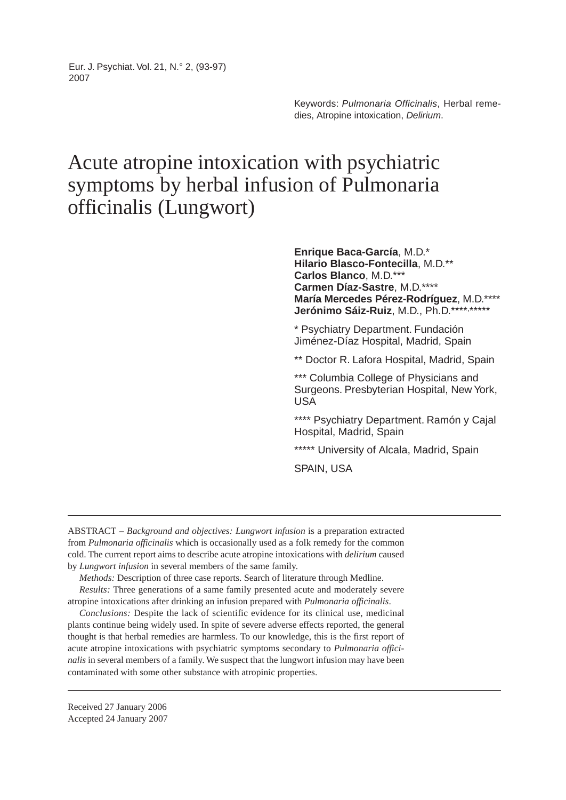Eur. J. Psychiat. Vol. 21, N.° 2, (93-97) 2007

> Keywords: Pulmonaria Officinalis, Herbal remedies, Atropine intoxication, Delirium.

## Acute atropine intoxication with psychiatric symptoms by herbal infusion of Pulmonaria officinalis (Lungwort)

**Enrique Baca-García**, M.D.\* **Hilario Blasco-Fontecilla**, M.D.\*\* **Carlos Blanco**, M.D.\*\*\* **Carmen Díaz-Sastre**, M.D.\*\*\*\* **María Mercedes Pérez-Rodríguez**, M.D.\*\*\*\* Jerónimo Sáiz-Ruiz, M.D., Ph.D.\*\*\*\*,\*\*\*\*\*

\* Psychiatry Department. Fundación Jiménez-Díaz Hospital, Madrid, Spain

\*\* Doctor R. Lafora Hospital, Madrid, Spain

\*\*\* Columbia College of Physicians and Surgeons. Presbyterian Hospital, New York, USA

\*\*\*\* Psychiatry Department. Ramón y Cajal Hospital, Madrid, Spain

\*\*\*\*\* University of Alcala, Madrid, Spain

SPAIN, USA

ABSTRACT – *Background and objectives: Lungwort infusion* is a preparation extracted from *Pulmonaria officinalis* which is occasionally used as a folk remedy for the common cold. The current report aims to describe acute atropine intoxications with *delirium* caused by *Lungwort infusion* in several members of the same family.

*Methods:* Description of three case reports. Search of literature through Medline.

*Results:* Three generations of a same family presented acute and moderately severe atropine intoxications after drinking an infusion prepared with *Pulmonaria officinalis*.

*Conclusions:* Despite the lack of scientific evidence for its clinical use, medicinal plants continue being widely used. In spite of severe adverse effects reported, the general thought is that herbal remedies are harmless. To our knowledge, this is the first report of acute atropine intoxications with psychiatric symptoms secondary to *Pulmonaria officinalis* in several members of a family. We suspect that the lungwort infusion may have been contaminated with some other substance with atropinic properties.

Received 27 January 2006 Accepted 24 January 2007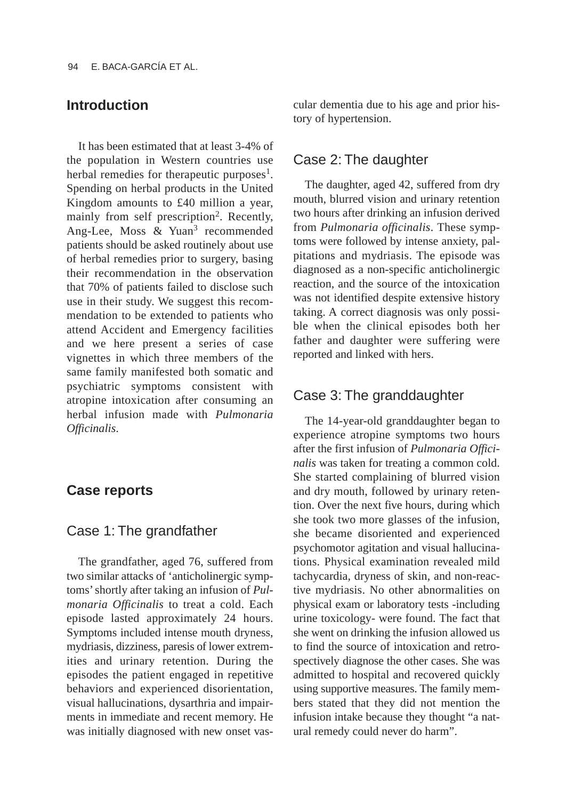## **Introduction**

It has been estimated that at least 3-4% of the population in Western countries use herbal remedies for therapeutic purposes<sup>1</sup>. Spending on herbal products in the United Kingdom amounts to £40 million a year, mainly from self prescription<sup>2</sup>. Recently, Ang-Lee, Moss & Yuan<sup>3</sup> recommended patients should be asked routinely about use of herbal remedies prior to surgery, basing their recommendation in the observation that 70% of patients failed to disclose such use in their study. We suggest this recommendation to be extended to patients who attend Accident and Emergency facilities and we here present a series of case vignettes in which three members of the same family manifested both somatic and psychiatric symptoms consistent with atropine intoxication after consuming an herbal infusion made with *Pulmonaria Officinalis*.

#### **Case reports**

## Case 1: The grandfather

The grandfather, aged 76, suffered from two similar attacks of 'anticholinergic symptoms' shortly after taking an infusion of *Pulmonaria Officinalis* to treat a cold. Each episode lasted approximately 24 hours. Symptoms included intense mouth dryness, mydriasis, dizziness, paresis of lower extremities and urinary retention. During the episodes the patient engaged in repetitive behaviors and experienced disorientation, visual hallucinations, dysarthria and impairments in immediate and recent memory. He was initially diagnosed with new onset vascular dementia due to his age and prior history of hypertension.

#### Case 2: The daughter

The daughter, aged 42, suffered from dry mouth, blurred vision and urinary retention two hours after drinking an infusion derived from *Pulmonaria officinalis*. These symptoms were followed by intense anxiety, palpitations and mydriasis. The episode was diagnosed as a non-specific anticholinergic reaction, and the source of the intoxication was not identified despite extensive history taking. A correct diagnosis was only possible when the clinical episodes both her father and daughter were suffering were reported and linked with hers.

#### Case 3: The granddaughter

The 14-year-old granddaughter began to experience atropine symptoms two hours after the first infusion of *Pulmonaria Officinalis* was taken for treating a common cold. She started complaining of blurred vision and dry mouth, followed by urinary retention. Over the next five hours, during which she took two more glasses of the infusion, she became disoriented and experienced psychomotor agitation and visual hallucinations. Physical examination revealed mild tachycardia, dryness of skin, and non-reactive mydriasis. No other abnormalities on physical exam or laboratory tests -including urine toxicology- were found. The fact that she went on drinking the infusion allowed us to find the source of intoxication and retrospectively diagnose the other cases. She was admitted to hospital and recovered quickly using supportive measures. The family members stated that they did not mention the infusion intake because they thought "a natural remedy could never do harm".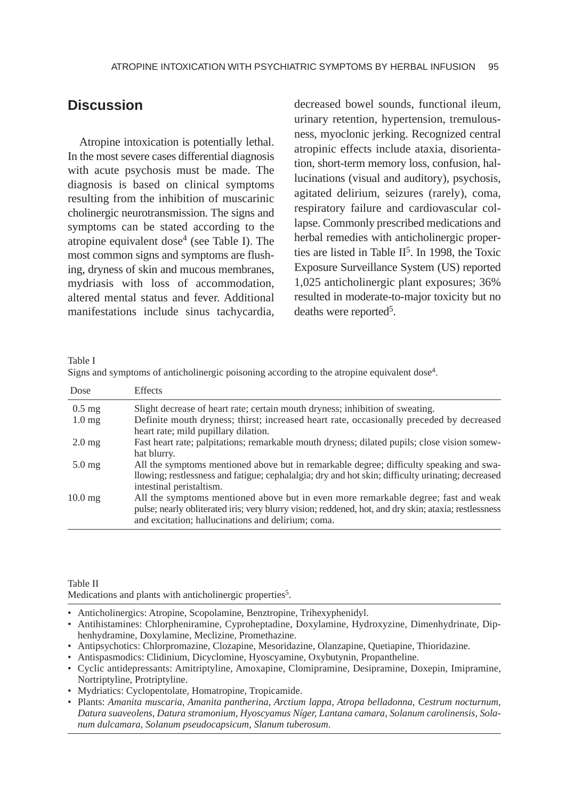## **Discussion**

Atropine intoxication is potentially lethal. In the most severe cases differential diagnosis with acute psychosis must be made. The diagnosis is based on clinical symptoms resulting from the inhibition of muscarinic cholinergic neurotransmission. The signs and symptoms can be stated according to the atropine equivalent dose<sup>4</sup> (see Table I). The most common signs and symptoms are flushing, dryness of skin and mucous membranes, mydriasis with loss of accommodation, altered mental status and fever. Additional manifestations include sinus tachycardia, decreased bowel sounds, functional ileum, urinary retention, hypertension, tremulousness, myoclonic jerking. Recognized central atropinic effects include ataxia, disorientation, short-term memory loss, confusion, hallucinations (visual and auditory), psychosis, agitated delirium, seizures (rarely), coma, respiratory failure and cardiovascular collapse. Commonly prescribed medications and herbal remedies with anticholinergic properties are listed in Table  $II<sup>5</sup>$ . In 1998, the Toxic Exposure Surveillance System (US) reported 1,025 anticholinergic plant exposures; 36% resulted in moderate-to-major toxicity but no deaths were reported<sup>5</sup>.

Table I

|  | Signs and symptoms of anticholinergic poisoning according to the atropine equivalent dose <sup>4</sup> . |  |  |
|--|----------------------------------------------------------------------------------------------------------|--|--|
|  |                                                                                                          |  |  |

| Dose                | <b>Effects</b>                                                                                                                                                                                                                                    |
|---------------------|---------------------------------------------------------------------------------------------------------------------------------------------------------------------------------------------------------------------------------------------------|
| $0.5$ mg            | Slight decrease of heart rate; certain mouth dryness; inhibition of sweating.                                                                                                                                                                     |
| 1.0 <sub>mg</sub>   | Definite mouth dryness; thirst; increased heart rate, occasionally preceded by decreased<br>heart rate; mild pupillary dilation.                                                                                                                  |
| $2.0 \,\mathrm{mg}$ | Fast heart rate; palpitations; remarkable mouth dryness; dilated pupils; close vision somew-<br>hat blurry.                                                                                                                                       |
| $5.0$ mg            | All the symptoms mentioned above but in remarkable degree; difficulty speaking and swa-<br>llowing; restlessness and fatigue; cephalalgia; dry and hot skin; difficulty urinating; decreased<br>intestinal peristaltism.                          |
| $10.0 \text{ mg}$   | All the symptoms mentioned above but in even more remarkable degree; fast and weak<br>pulse; nearly obliterated iris; very blurry vision; reddened, hot, and dry skin; ataxia; restlessness<br>and excitation; hallucinations and delirium; coma. |

Table II

Medications and plants with anticholinergic properties<sup>5</sup>.

- Anticholinergics: Atropine, Scopolamine, Benztropine, Trihexyphenidyl.
- Antihistamines: Chlorpheniramine, Cyproheptadine, Doxylamine, Hydroxyzine, Dimenhydrinate, Diphenhydramine, Doxylamine, Meclizine, Promethazine.
- Antipsychotics: Chlorpromazine, Clozapine, Mesoridazine, Olanzapine, Quetiapine, Thioridazine.
- Antispasmodics: Clidinium, Dicyclomine, Hyoscyamine, Oxybutynin, Propantheline.
- Cyclic antidepressants: Amitriptyline, Amoxapine, Clomipramine, Desipramine, Doxepin, Imipramine, Nortriptyline, Protriptyline.
- Mydriatics: Cyclopentolate, Homatropine, Tropicamide.
- Plants: *Amanita muscaria, Amanita pantherina, Arctium lappa, Atropa belladonna, Cestrum nocturnum, Datura suaveolens, Datura stramonium, Hyoscyamus Níger, Lantana camara, Solanum carolinensis, Solanum dulcamara, Solanum pseudocapsicum, Slanum tuberosum*.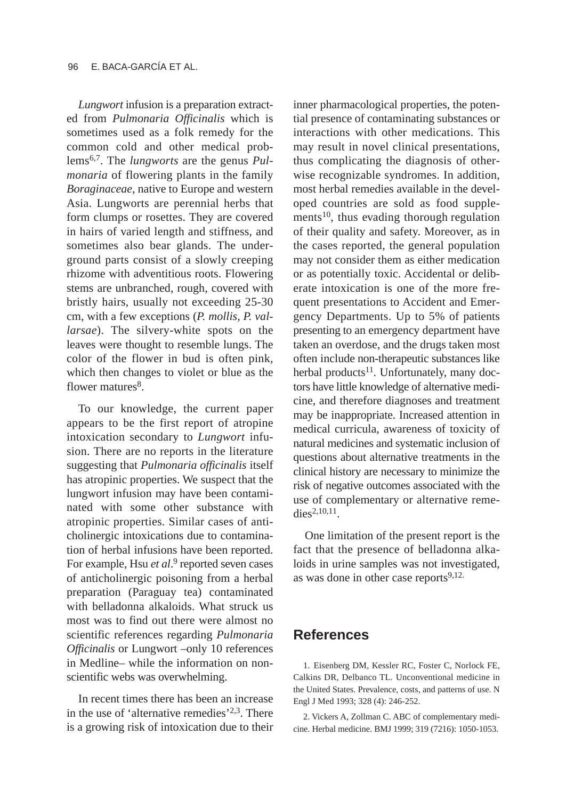*Lungwort* infusion is a preparation extracted from *Pulmonaria Officinalis* which is sometimes used as a folk remedy for the common cold and other medical problems6,7. The *lungworts* are the genus *Pulmonaria* of flowering plants in the family *Boraginaceae*, native to Europe and western Asia. Lungworts are perennial herbs that form clumps or rosettes. They are covered in hairs of varied length and stiffness, and sometimes also bear glands. The underground parts consist of a slowly creeping rhizome with adventitious roots. Flowering stems are unbranched, rough, covered with bristly hairs, usually not exceeding 25-30 cm, with a few exceptions (*P. mollis, P. vallarsae*). The silvery-white spots on the leaves were thought to resemble lungs. The color of the flower in bud is often pink, which then changes to violet or blue as the flower matures $8$ .

To our knowledge, the current paper appears to be the first report of atropine intoxication secondary to *Lungwort* infusion. There are no reports in the literature suggesting that *Pulmonaria officinalis* itself has atropinic properties. We suspect that the lungwort infusion may have been contaminated with some other substance with atropinic properties. Similar cases of anticholinergic intoxications due to contamination of herbal infusions have been reported. For example, Hsu *et al*. <sup>9</sup> reported seven cases of anticholinergic poisoning from a herbal preparation (Paraguay tea) contaminated with belladonna alkaloids. What struck us most was to find out there were almost no scientific references regarding *Pulmonaria Officinalis* or Lungwort –only 10 references in Medline– while the information on nonscientific webs was overwhelming.

In recent times there has been an increase in the use of 'alternative remedies'2,3. There is a growing risk of intoxication due to their inner pharmacological properties, the potential presence of contaminating substances or interactions with other medications. This may result in novel clinical presentations, thus complicating the diagnosis of otherwise recognizable syndromes. In addition, most herbal remedies available in the developed countries are sold as food supplements $10$ , thus evading thorough regulation of their quality and safety. Moreover, as in the cases reported, the general population may not consider them as either medication or as potentially toxic. Accidental or deliberate intoxication is one of the more frequent presentations to Accident and Emergency Departments. Up to 5% of patients presenting to an emergency department have taken an overdose, and the drugs taken most often include non-therapeutic substances like herbal products<sup>11</sup>. Unfortunately, many doctors have little knowledge of alternative medicine, and therefore diagnoses and treatment may be inappropriate. Increased attention in medical curricula, awareness of toxicity of natural medicines and systematic inclusion of questions about alternative treatments in the clinical history are necessary to minimize the risk of negative outcomes associated with the use of complementary or alternative remedies<sup>2,10,11</sup>.

One limitation of the present report is the fact that the presence of belladonna alkaloids in urine samples was not investigated, as was done in other case reports $9,12$ .

### **References**

1. Eisenberg DM, Kessler RC, Foster C, Norlock FE, Calkins DR, Delbanco TL. Unconventional medicine in the United States. Prevalence, costs, and patterns of use. N Engl J Med 1993; 328 (4): 246-252.

2. Vickers A, Zollman C. ABC of complementary medicine. Herbal medicine. BMJ 1999; 319 (7216): 1050-1053.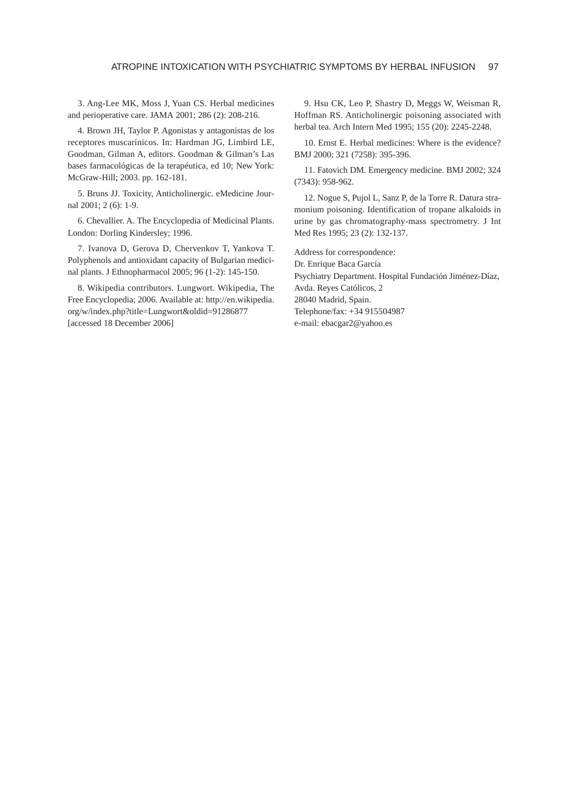3. Ang-Lee MK, Moss J, Yuan CS. Herbal medicines and perioperative care. JAMA 2001; 286 (2): 208-216.

4. Brown JH, Taylor P. Agonistas y antagonistas de los receptores muscarínicos. In: Hardman JG, Limbird LE, Goodman, Gilman A, editors. Goodman & Gilman's Las bases farmacológicas de la terapéutica, ed 10; New York: McGraw-Hill; 2003. pp. 162-181.

5. Bruns JJ. Toxicity, Anticholinergic. eMedicine Journal 2001; 2 (6): 1-9.

6. Chevallier. A. The Encyclopedia of Medicinal Plants. London: Dorling Kindersley; 1996.

7. Ivanova D, Gerova D, Chervenkov T, Yankova T. Polyphenols and antioxidant capacity of Bulgarian medicinal plants. J Ethnopharmacol 2005; 96 (1-2): 145-150.

8. Wikipedia contributors. Lungwort. Wikipedia, The Free Encyclopedia; 2006. Available at: http://en.wikipedia. org/w/index.php?title=Lungwort&oldid=91286877 [accessed 18 December 2006]

9. Hsu CK, Leo P, Shastry D, Meggs W, Weisman R, Hoffman RS. Anticholinergic poisoning associated with herbal tea. Arch Intern Med 1995; 155 (20): 2245-2248.

10. Ernst E. Herbal medicines: Where is the evidence? BMJ 2000; 321 (7258): 395-396.

11. Fatovich DM. Emergency medicine. BMJ 2002; 324 (7343): 958-962.

12. Nogue S, Pujol L, Sanz P, de la Torre R. Datura stramonium poisoning. Identification of tropane alkaloids in urine by gas chromatography-mass spectrometry. J Int Med Res 1995; 23 (2): 132-137.

Address for correspondence: Dr. Enrique Baca García Psychiatry Department. Hospital Fundación Jiménez-Díaz, Avda. Reyes Católicos, 2 28040 Madrid, Spain. Telephone/fax: +34 915504987 e-mail: ebacgar2@yahoo.es